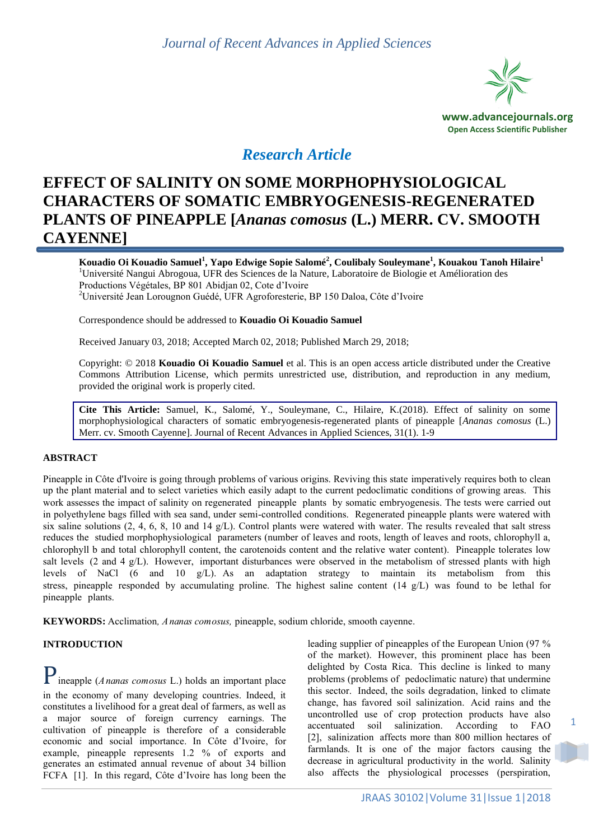

# *Research Article*

# **EFFECT OF SALINITY ON SOME MORPHOPHYSIOLOGICAL CHARACTERS OF SOMATIC EMBRYOGENESIS-REGENERATED PLANTS OF PINEAPPLE [***Ananas comosus* **(L.) MERR. CV. SMOOTH CAYENNE]**

**Kouadio Oi Kouadio Samuel<sup>1</sup> , Yapo Edwige Sopie Salomé<sup>2</sup> , Coulibaly Souleymane<sup>1</sup> , Kouakou Tanoh Hilaire<sup>1</sup>** <sup>1</sup>Université Nangui Abrogoua, UFR des Sciences de la Nature, Laboratoire de Biologie et Amélioration des Productions Végétales, BP 801 Abidjan 02, Cote d'Ivoire <sup>2</sup>Université Jean Lorougnon Guédé, UFR Agroforesterie, BP 150 Daloa, Côte d'Ivoire

Correspondence should be addressed to **Kouadio Oi Kouadio Samuel**

Received January 03, 2018; Accepted March 02, 2018; Published March 29, 2018;

Copyright: © 2018 **Kouadio Oi Kouadio Samuel** et al. This is an open access article distributed under the Creative Commons Attribution License, which permits unrestricted use, distribution, and reproduction in any medium, provided the original work is properly cited.

**Cite This Article:** Samuel, K., Salomé, Y., Souleymane, C., Hilaire, K.(2018). Effect of salinity on some morphophysiological characters of somatic embryogenesis-regenerated plants of pineapple [*Ananas comosus* (L.) Merr. cv. Smooth Cayenne]. Journal of Recent Advances in Applied Sciences, 31(1). 1-9

### **ABSTRACT**

Pineapple in Côte d'Ivoire is going through problems of various origins. Reviving this state imperatively requires both to clean up the plant material and to select varieties which easily adapt to the current pedoclimatic conditions of growing areas. This work assesses the impact of salinity on regenerated pineapple plants by somatic embryogenesis. The tests were carried out in polyethylene bags filled with sea sand, under semi-controlled conditions. Regenerated pineapple plants were watered with six saline solutions (2, 4, 6, 8, 10 and 14 g/L). Control plants were watered with water. The results revealed that salt stress reduces the studied morphophysiological parameters (number of leaves and roots, length of leaves and roots, chlorophyll a, chlorophyll b and total chlorophyll content, the carotenoids content and the relative water content). Pineapple tolerates low salt levels (2 and 4 g/L). However, important disturbances were observed in the metabolism of stressed plants with high levels of NaCl (6 and 10 g/L). As an adaptation strategy to maintain its metabolism from this stress, pineapple responded by accumulating proline. The highest saline content (14 g/L) was found to be lethal for pineapple plants.

**KEYWORDS:** Acclimation*, Ananas comosus,* pineapple, sodium chloride, smooth cayenne.

#### **INTRODUCTION**

ineapple (*Ananas comosus* L.) holds an important place in the economy of many developing countries. Indeed, it constitutes a livelihood for a great deal of farmers, as well as a major source of foreign currency earnings. The cultivation of pineapple is therefore of a considerable economic and social importance. In Côte d'Ivoire, for example, pineapple represents 1.2 % of exports and generates an estimated annual revenue of about 34 billion FCFA [1]. In this regard, Côte d'Ivoire has long been the leading supplier of pineapples of the European Union (97 % of the market). However, this prominent place has been delighted by Costa Rica. This decline is linked to many problems (problems of pedoclimatic nature) that undermine this sector. Indeed, the soils degradation, linked to climate change, has favored soil salinization. Acid rains and the uncontrolled use of crop protection products have also accentuated soil salinization. According to FAO [2], salinization affects more than 800 million hectares of farmlands. It is one of the major factors causing the decrease in agricultural productivity in the world. Salinity also affects the physiological processes (perspiration,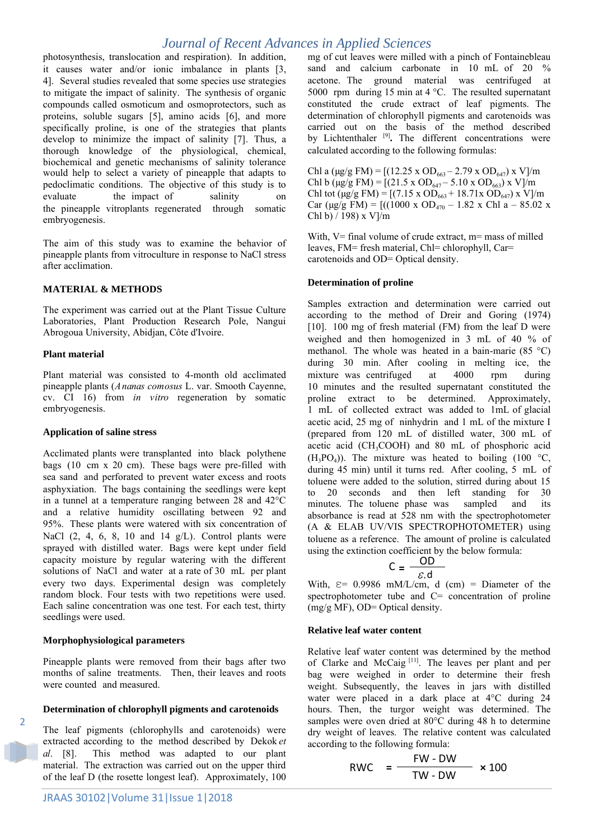photosynthesis, translocation and respiration). In addition, it causes water and/or ionic imbalance in plants [3, 4]. Several studies revealed that some species use strategies to mitigate the impact of salinity. The synthesis of organic compounds called osmoticum and osmoprotectors, such as proteins, soluble sugars [5], amino acids [6], and more specifically proline, is one of the strategies that plants develop to minimize the impact of salinity [7]. Thus, a thorough knowledge of the physiological, chemical, biochemical and genetic mechanisms of salinity tolerance would help to select a variety of pineapple that adapts to pedoclimatic conditions. The objective of this study is to evaluate the impact of salinity on the pineapple vitroplants regenerated through somatic embryogenesis.

The aim of this study was to examine the behavior of pineapple plants from vitroculture in response to NaCl stress after acclimation.

#### **MATERIAL & METHODS**

The experiment was carried out at the Plant Tissue Culture Laboratories, Plant Production Research Pole, Nangui Abrogoua University, Abidjan, Côte d'Ivoire.

#### **Plant material**

Plant material was consisted to 4-month old acclimated pineapple plants (*Ananas comosus* L. var. Smooth Cayenne, cv. CI 16) from *in vitro* regeneration by somatic embryogenesis.

#### **Application of saline stress**

Acclimated plants were transplanted into black polythene bags (10 cm x 20 cm). These bags were pre-filled with sea sand and perforated to prevent water excess and roots asphyxiation. The bags containing the seedlings were kept in a tunnel at a temperature ranging between 28 and 42°C and a relative humidity oscillating between 92 and 95%. These plants were watered with six concentration of NaCl  $(2, 4, 6, 8, 10, 14, g/L)$ . Control plants were sprayed with distilled water. Bags were kept under field capacity moisture by regular watering with the different solutions of NaCl and water at a rate of 30 mL per plant every two days. Experimental design was completely random block. Four tests with two repetitions were used. Each saline concentration was one test. For each test, thirty seedlings were used.

#### **Morphophysiological parameters**

Pineapple plants were removed from their bags after two months of saline treatments. Then, their leaves and roots were counted and measured.

#### **Determination of chlorophyll pigments and carotenoids**

The leaf pigments (chlorophylls and carotenoids) were extracted according to the method described by Dekok *et al*. [8]. This method was adapted to our plant material. The extraction was carried out on the upper third of the leaf D (the rosette longest leaf). Approximately, 100 mg of cut leaves were milled with a pinch of Fontainebleau sand and calcium carbonate in 10 mL of 20 % acetone. The ground material was centrifuged at 5000 rpm during 15 min at 4 °C. The resulted supernatant constituted the crude extract of leaf pigments. The determination of chlorophyll pigments and carotenoids was carried out on the basis of the method described by Lichtenthaler<sup>[9]</sup>. The different concentrations were calculated according to the following formulas:

Chl a ( $\mu$ g/g FM) = [(12.25 x OD<sub>663</sub> – 2.79 x OD<sub>647</sub>) x V]/m Chl b ( $\mu$ g/g FM) = [(21.5 x OD<sub>647</sub> – 5.10 x OD<sub>663</sub>) x V]/m Chl tot ( $\mu$ g/g FM) = [(7.15 x OD<sub>663</sub> + 18.71x OD<sub>647</sub>) x V]/m Car ( $\mu$ g/g FM) = [((1000 x OD<sub>470</sub> – 1.82 x Chl a – 85.02 x Chl b) / 198) x V]/m

With,  $V = \text{final volume of crude extract}, m = \text{mass of milled}$ leaves, FM= fresh material, Chl= chlorophyll, Car= carotenoids and OD= Optical density.

#### **Determination of proline**

Samples extraction and determination were carried out according to the method of Dreir and Goring (1974) [10]. 100 mg of fresh material (FM) from the leaf D were weighed and then homogenized in 3 mL of 40 % of methanol. The whole was heated in a bain-marie (85 °C) during 30 min. After cooling in melting ice, the mixture was centrifuged at 4000 rpm during 10 minutes and the resulted supernatant constituted the proline extract to be determined. Approximately, 1 mL of collected extract was added to 1mL of glacial acetic acid, 25 mg of ninhydrin and 1 mL of the mixture I (prepared from 120 mL of distilled water, 300 mL of acetic acid  $(CH_3COOH)$  and 80 mL of phosphoric acid  $(H_3PO_4)$ ). The mixture was heated to boiling (100 °C, during 45 min) until it turns red. After cooling, 5 mL of toluene were added to the solution, stirred during about 15 to 20 seconds and then left standing for 30 minutes. The toluene phase was sampled and its absorbance is read at 528 nm with the spectrophotometer (A & ELAB UV/VIS SPECTROPHOTOMETER) using toluene as a reference. The amount of proline is calculated using the extinction coefficient by the below formula:

$$
C = \frac{OD}{\varepsilon \cdot d}
$$

With,  $\epsilon$  = 0.9986 mM/L/cm, d (cm) = Diameter of the spectrophotometer tube and  $C=$  concentration of proline (mg/g MF), OD= Optical density.  $\overline{\phantom{a}}$ 

#### **Relative leaf water content**

Relative leaf water content was determined by the method of Clarke and McCaig<sup>[11]</sup>. The leaves per plant and per bag were weighed in order to determine their fresh weight. Subsequently, the leaves in jars with distilled water were placed in a dark place at 4°C during 24 hours. Then, the turgor weight was determined. The samples were oven dried at 80°C during 48 h to determine dry weight of leaves. The relative content was calculated according to the following formula:

$$
RWC = \frac{FW - DW}{TW - DW} \times 100
$$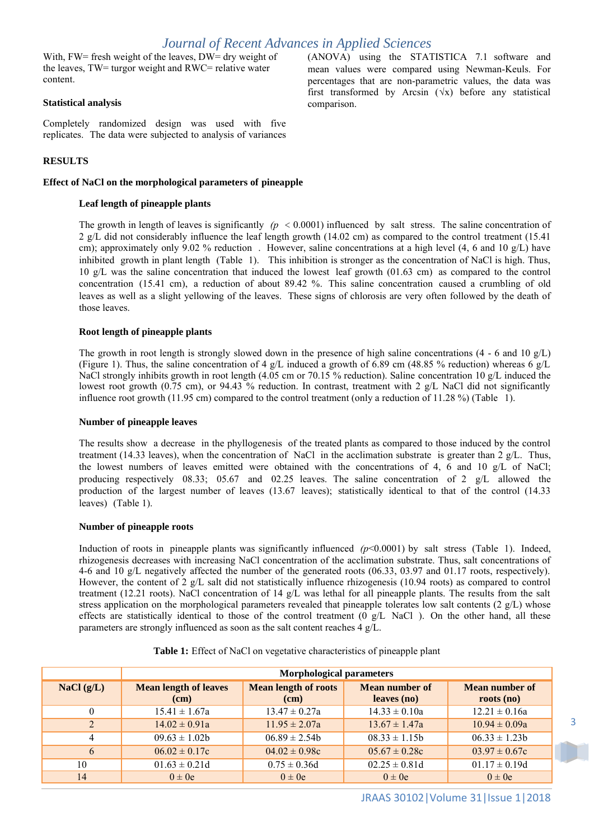With, FW= fresh weight of the leaves, DW= dry weight of the leaves, TW= turgor weight and RWC= relative water content.

#### **Statistical analysis**

Completely randomized design was used with five replicates. The data were subjected to analysis of variances

### **RESULTS**

#### **Effect of NaCl on the morphological parameters of pineapple**

#### **Leaf length of pineapple plants**

The growth in length of leaves is significantly  $(p \lt 0.0001)$  influenced by salt stress. The saline concentration of 2 g/L did not considerably influence the leaf length growth (14.02 cm) as compared to the control treatment (15.41 cm); approximately only 9.02 % reduction. However, saline concentrations at a high level  $(4, 6 \text{ and } 10 \text{ g/L})$  have inhibited growth in plant length (Table 1). This inhibition is stronger as the concentration of NaCl is high. Thus, 10 g/L was the saline concentration that induced the lowest leaf growth (01.63 cm) as compared to the control concentration (15.41 cm), a reduction of about 89.42 %. This saline concentration caused a crumbling of old leaves as well as a slight yellowing of the leaves. These signs of chlorosis are very often followed by the death of those leaves.

#### **Root length of pineapple plants**

The growth in root length is strongly slowed down in the presence of high saline concentrations  $(4 - 6$  and  $10 \text{ g/L})$ (Figure 1). Thus, the saline concentration of 4 g/L induced a growth of 6.89 cm (48.85 % reduction) whereas 6 g/L NaCl strongly inhibits growth in root length (4.05 cm or 70.15 % reduction). Saline concentration 10 g/L induced the lowest root growth (0.75 cm), or 94.43 % reduction. In contrast, treatment with 2 g/L NaCl did not significantly influence root growth (11.95 cm) compared to the control treatment (only a reduction of 11.28 %) (Table 1).

#### **Number of pineapple leaves**

The results show a decrease in the phyllogenesis of the treated plants as compared to those induced by the control treatment (14.33 leaves), when the concentration of NaCl in the acclimation substrate is greater than 2 g/L. Thus, the lowest numbers of leaves emitted were obtained with the concentrations of 4, 6 and 10 g/L of NaCl; producing respectively 08.33; 05.67 and 02.25 leaves. The saline concentration of 2 g/L allowed the production of the largest number of leaves (13.67 leaves); statistically identical to that of the control (14.33 leaves) (Table 1).

#### **Number of pineapple roots**

Induction of roots in pineapple plants was significantly influenced ( $p<0.0001$ ) by salt stress (Table 1). Indeed, rhizogenesis decreases with increasing NaCl concentration of the acclimation substrate. Thus, salt concentrations of 4-6 and 10 g/L negatively affected the number of the generated roots (06.33, 03.97 and 01.17 roots, respectively). However, the content of 2 g/L salt did not statistically influence rhizogenesis (10.94 roots) as compared to control treatment (12.21 roots). NaCl concentration of 14 g/L was lethal for all pineapple plants. The results from the salt stress application on the morphological parameters revealed that pineapple tolerates low salt contents  $(2 g/L)$  whose effects are statistically identical to those of the control treatment (0 g/L NaCl ). On the other hand, all these parameters are strongly influenced as soon as the salt content reaches 4 g/L.

|                | <b>Morphological parameters</b>      |                                     |                               |                              |  |  |
|----------------|--------------------------------------|-------------------------------------|-------------------------------|------------------------------|--|--|
| NaCl $(g/L)$   | <b>Mean length of leaves</b><br>(cm) | <b>Mean length of roots</b><br>(cm) | Mean number of<br>leaves (no) | Mean number of<br>roots (no) |  |  |
| $\theta$       | $15.41 \pm 1.67a$                    | $13.47 \pm 0.27a$                   | $14.33 \pm 0.10a$             | $12.21 \pm 0.16a$            |  |  |
| $\overline{2}$ | $14.02 \pm 0.91a$                    | $11.95 \pm 2.07a$                   | $13.67 \pm 1.47a$             | $10.94 \pm 0.09a$            |  |  |
|                | $09.63 \pm 1.02$                     | $06.89 \pm 2.54b$                   | $08.33 \pm 1.15b$             | $06.33 \pm 1.23b$            |  |  |
| 6              | $06.02 \pm 0.17c$                    | $04.02 \pm 0.98c$                   | $05.67 \pm 0.28c$             | $03.97 \pm 0.67c$            |  |  |
| 10             | $01.63 \pm 0.21d$                    | $0.75 \pm 0.36d$                    | $02.25 \pm 0.81d$             | $01.17 \pm 0.19d$            |  |  |
| 14             | $0 \pm 0e$                           | $0 \pm 0e$                          | $0 \pm 0e$                    | $0 \pm 0e$                   |  |  |

**Table 1:** Effect of NaCl on vegetative characteristics of pineapple plant

JRAAS 30102|Volume 31|Issue 1|2018

(ANOVA) using the STATISTICA 7.1 software and mean values were compared using Newman-Keuls. For percentages that are non-parametric values, the data was first transformed by Arcsin  $(\forall x)$  before any statistical comparison.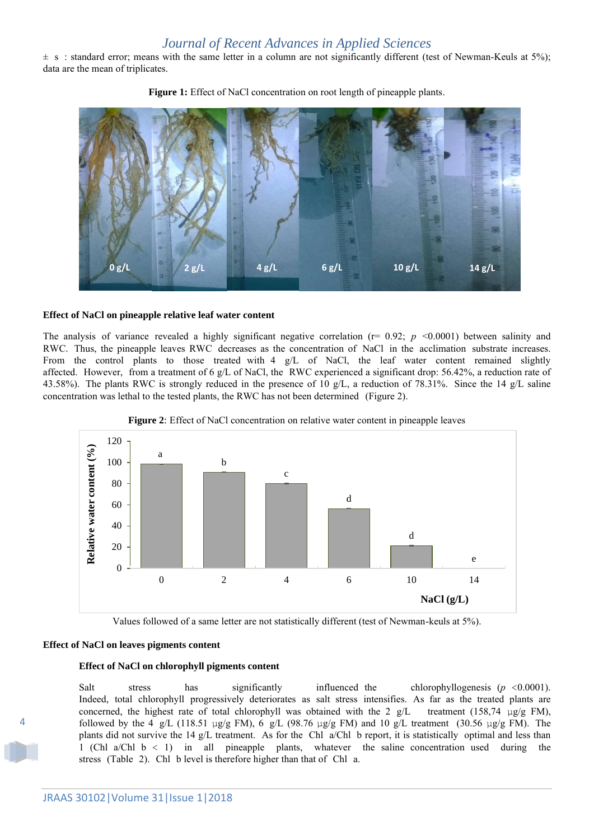$\pm$  s : standard error; means with the same letter in a column are not significantly different (test of Newman-Keuls at 5%); data are the mean of triplicates.





#### **Effect of NaCl on pineapple relative leaf water content**

The analysis of variance revealed a highly significant negative correlation ( $r= 0.92$ ;  $p < 0.0001$ ) between salinity and RWC. Thus, the pineapple leaves RWC decreases as the concentration of NaCl in the acclimation substrate increases. From the control plants to those treated with 4 g/L of NaCl, the leaf water content remained slightly affected. However, from a treatment of 6 g/L of NaCl, the RWC experienced a significant drop: 56.42%, a reduction rate of 43.58%). The plants RWC is strongly reduced in the presence of 10 g/L, a reduction of 78.31%. Since the 14 g/L saline concentration was lethal to the tested plants, the RWC has not been determined (Figure 2).





Values followed of a same letter are not statistically different (test of Newman-keuls at 5%).

#### **Effect of NaCl on leaves pigments content**

#### **Effect of NaCl on chlorophyll pigments content**

Salt stress has significantly influenced the chlorophyllogenesis (*p* <0.0001). Indeed, total chlorophyll progressively deteriorates as salt stress intensifies. As far as the treated plants are concerned, the highest rate of total chlorophyll was obtained with the 2  $g/L$  treatment (158,74 µg/g FM), followed by the 4 g/L (118.51 μg/g FM), 6 g/L (98.76 μg/g FM) and 10 g/L treatment (30.56 μg/g FM). The plants did not survive the 14 g/L treatment. As for the Chl a/Chl b report, it is statistically optimal and less than 1 (Chl a/Chl b ˂ 1) in all pineapple plants, whatever the saline concentration used during the stress (Table 2). Chl b level is therefore higher than that of Chl a.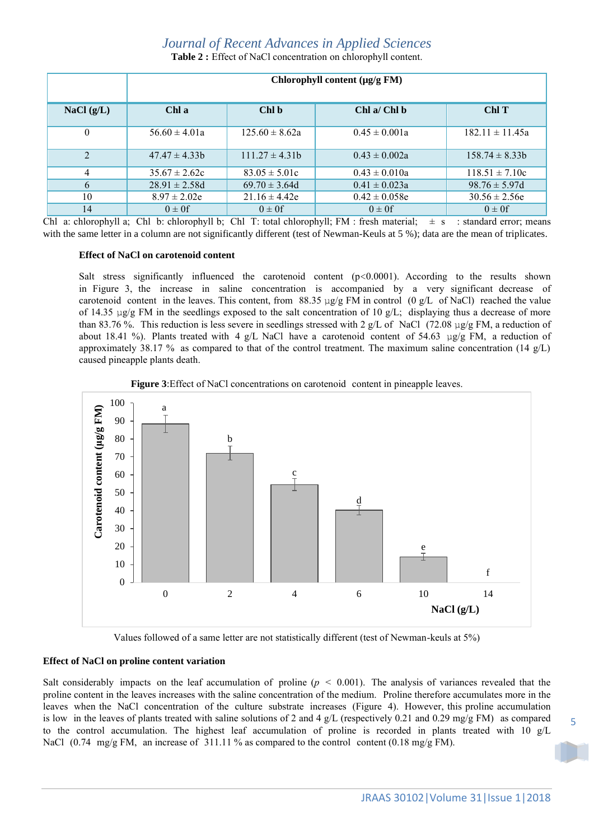**Table 2 :** Effect of NaCl concentration on chlorophyll content.

|              | Chlorophyll content (µg/g FM) |                    |                   |                     |  |
|--------------|-------------------------------|--------------------|-------------------|---------------------|--|
| NaCl $(g/L)$ | Chl a                         | Chl b              | Chl a/ Chl b      | ChlT                |  |
| $\mathbf{0}$ | $56.60 \pm 4.01a$             | $125.60 \pm 8.62a$ | $0.45 \pm 0.001a$ | $182.11 \pm 11.45a$ |  |
| 2            | $47.47 \pm 4.33b$             | $111.27 \pm 4.31b$ | $0.43 \pm 0.002a$ | $158.74 \pm 8.33b$  |  |
| 4            | $35.67 \pm 2.62c$             | $83.05 \pm 5.01c$  | $0.43 \pm 0.010a$ | $118.51 \pm 7.10c$  |  |
| 6            | $28.91 \pm 2.58$ d            | $69.70 \pm 3.64$ d | $0.41 \pm 0.023a$ | $98.76 \pm 5.97d$   |  |
| 10           | $8.97 \pm 2.02e$              | $21.16 \pm 4.42e$  | $0.42 \pm 0.058e$ | $30.56 \pm 2.56$ e  |  |
| 14           | $0 \pm 0f$                    | $0 \pm 0f$         | $0 \pm 0f$        | $0 \pm 0f$          |  |

Chl a: chlorophyll a; Chl b: chlorophyll b; Chl T: total chlorophyll; FM : fresh material;  $\pm s$  : standard error; means with the same letter in a column are not significantly different (test of Newman-Keuls at 5 %); data are the mean of triplicates.

#### **Effect of NaCl on carotenoid content**

Salt stress significantly influenced the carotenoid content (p˂0.0001). According to the results shown in Figure 3, the increase in saline concentration is accompanied by a very significant decrease of carotenoid content in the leaves. This content, from 88.35 μg/g FM in control (0 g/L of NaCl) reached the value of 14.35 μg/g FM in the seedlings exposed to the salt concentration of 10 g/L; displaying thus a decrease of more than 83.76 %. This reduction is less severe in seedlings stressed with 2 g/L of NaCl (72.08 μg/g FM, a reduction of about 18.41 %). Plants treated with 4 g/L NaCl have a carotenoid content of 54.63  $\mu$ g/g FM, a reduction of approximately 38.17 % as compared to that of the control treatment. The maximum saline concentration (14 g/L) caused pineapple plants death.

**Figure 3**:Effect of NaCl concentrations on carotenoid content in pineapple leaves.



Values followed of a same letter are not statistically different (test of Newman-keuls at 5%)

### **Effect of NaCl on proline content variation**

Salt considerably impacts on the leaf accumulation of proline  $(p < 0.001)$ . The analysis of variances revealed that the proline content in the leaves increases with the saline concentration of the medium. Proline therefore accumulates more in the leaves when the NaCl concentration of the culture substrate increases (Figure 4). However, this proline accumulation is low in the leaves of plants treated with saline solutions of 2 and 4 g/L (respectively 0.21 and 0.29 mg/g FM) as compared to the control accumulation. The highest leaf accumulation of proline is recorded in plants treated with 10 g/L NaCl (0.74 mg/g FM, an increase of 311.11 % as compared to the control content (0.18 mg/g FM).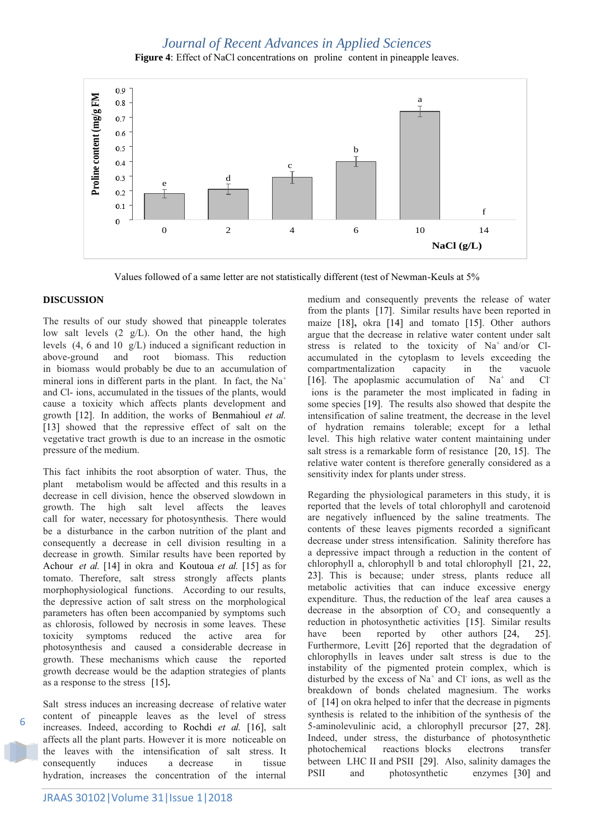**Figure 4**: Effect of NaCl concentrations on proline content in pineapple leaves.



Values followed of a same letter are not statistically different (test of Newman-Keuls at 5%

#### **DISCUSSION**

The results of our study showed that pineapple tolerates low salt levels (2 g/L). On the other hand, the high levels (4, 6 and 10 g/L) induced a significant reduction in above-ground and root biomass. This reduction in biomass would probably be due to an accumulation of mineral ions in different parts in the plant. In fact, the  $Na<sup>+</sup>$ and Cl- ions, accumulated in the tissues of the plants, would cause a toxicity which affects plants development and growth [12]. In addition, the works of Benmahioul *et al.* [13] showed that the repressive effect of salt on the vegetative tract growth is due to an increase in the osmotic pressure of the medium.

This fact inhibits the root absorption of water. Thus, the plant metabolism would be affected and this results in a decrease in cell division, hence the observed slowdown in growth. The high salt level affects the leaves call for water, necessary for photosynthesis. There would be a disturbance in the carbon nutrition of the plant and consequently a decrease in cell division resulting in a decrease in growth. Similar results have been reported by Achour *et al.* [14] in okra and Koutoua *et al.* [15] as for tomato. Therefore, salt stress strongly affects plants morphophysiological functions. According to our results, the depressive action of salt stress on the morphological parameters has often been accompanied by symptoms such as chlorosis, followed by necrosis in some leaves. These toxicity symptoms reduced the active area for photosynthesis and caused a considerable decrease in growth. These mechanisms which cause the reported growth decrease would be the adaption strategies of plants as a response to the stress [15]**.**

Salt stress induces an increasing decrease of relative water content of pineapple leaves as the level of stress increases. Indeed, according to Rochdi *et al.* [16], salt affects all the plant parts. However it is more noticeable on the leaves with the intensification of salt stress. It consequently induces a decrease in tissue hydration, increases the concentration of the internal medium and consequently prevents the release of water from the plants [17]. Similar results have been reported in maize [18]**,** okra [14] and tomato [15]. Other authors argue that the decrease in relative water content under salt stress is related to the toxicity of Na<sup>+</sup> and/or Claccumulated in the cytoplasm to levels exceeding the compartmentalization capacity in the vacuole [16]. The apoplasmic accumulation of  $Na<sup>+</sup>$  and Cl ions is the parameter the most implicated in fading in some species [19]. The results also showed that despite the intensification of saline treatment, the decrease in the level of hydration remains tolerable; except for a lethal level. This high relative water content maintaining under salt stress is a remarkable form of resistance [20, 15]. The relative water content is therefore generally considered as a sensitivity index for plants under stress.

Regarding the physiological parameters in this study, it is reported that the levels of total chlorophyll and carotenoid are negatively influenced by the saline treatments. The contents of these leaves pigments recorded a significant decrease under stress intensification. Salinity therefore has a depressive impact through a reduction in the content of chlorophyll a, chlorophyll b and total chlorophyll [21, 22, 23]. This is because; under stress, plants reduce all metabolic activities that can induce excessive energy expenditure. Thus, the reduction of the leaf area causes a decrease in the absorption of  $CO<sub>2</sub>$  and consequently a reduction in photosynthetic activities [15]. Similar results have been reported by other authors [24, 25]. Furthermore, Levitt [26] reported that the degradation of chlorophylls in leaves under salt stress is due to the instability of the pigmented protein complex, which is disturbed by the excess of  $Na<sup>+</sup>$  and Cl<sup>-</sup> ions, as well as the breakdown of bonds chelated magnesium. The works of [14] on okra helped to infer that the decrease in pigments synthesis is related to the inhibition of the synthesis of the 5-aminolevulinic acid, a chlorophyll precursor [27, 28]. Indeed, under stress, the disturbance of photosynthetic photochemical reactions blocks electrons transfer between LHC II and PSII [29]. Also, salinity damages the PSII and photosynthetic enzymes [30] and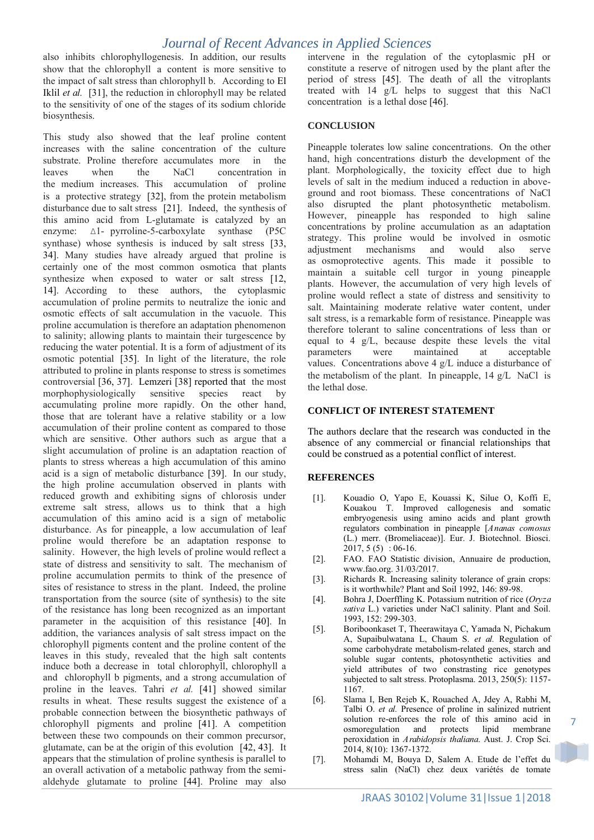also inhibits chlorophyllogenesis. In addition, our results show that the chlorophyll a content is more sensitive to the impact of salt stress than chlorophyll b. According to El Iklil *et al.* [31], the reduction in chlorophyll may be related to the sensitivity of one of the stages of its sodium chloride biosynthesis.

This study also showed that the leaf proline content increases with the saline concentration of the culture substrate. Proline therefore accumulates more in the leaves when the NaCl concentration in the medium increases. This accumulation of proline is a protective strategy [32], from the protein metabolism disturbance due to salt stress [21]. Indeed, the synthesis of this amino acid from L-glutamate is catalyzed by an enzyme: Δ1- pyrroline-5-carboxylate synthase (P5C synthase) whose synthesis is induced by salt stress [33, 34]. Many studies have already argued that proline is certainly one of the most common osmotica that plants synthesize when exposed to water or salt stress [12, 14]. According to these authors, the cytoplasmic accumulation of proline permits to neutralize the ionic and osmotic effects of salt accumulation in the vacuole. This proline accumulation is therefore an adaptation phenomenon to salinity; allowing plants to maintain their turgescence by reducing the water potential. It is a form of adjustment of its osmotic potential [35]. In light of the literature, the role attributed to proline in plants response to stress is sometimes controversial [36, 37]. Lemzeri [38] reported that the most morphophysiologically sensitive species react by accumulating proline more rapidly. On the other hand, those that are tolerant have a relative stability or a low accumulation of their proline content as compared to those which are sensitive. Other authors such as argue that a slight accumulation of proline is an adaptation reaction of plants to stress whereas a high accumulation of this amino acid is a sign of metabolic disturbance [39]. In our study, the high proline accumulation observed in plants with reduced growth and exhibiting signs of chlorosis under extreme salt stress, allows us to think that a high accumulation of this amino acid is a sign of metabolic disturbance. As for pineapple, a low accumulation of leaf proline would therefore be an adaptation response to salinity. However, the high levels of proline would reflect a state of distress and sensitivity to salt. The mechanism of proline accumulation permits to think of the presence of sites of resistance to stress in the plant. Indeed, the proline transportation from the source (site of synthesis) to the site of the resistance has long been recognized as an important parameter in the acquisition of this resistance [40]. In addition, the variances analysis of salt stress impact on the chlorophyll pigments content and the proline content of the leaves in this study, revealed that the high salt contents induce both a decrease in total chlorophyll, chlorophyll a and chlorophyll b pigments, and a strong accumulation of proline in the leaves. Tahri *et al.* [41] showed similar results in wheat. These results suggest the existence of a probable connection between the biosynthetic pathways of chlorophyll pigments and proline [41]. A competition between these two compounds on their common precursor, glutamate, can be at the origin of this evolution [42, 43]. It appears that the stimulation of proline synthesis is parallel to an overall activation of a metabolic pathway from the semialdehyde glutamate to proline [44]. Proline may also

intervene in the regulation of the cytoplasmic pH or constitute a reserve of nitrogen used by the plant after the period of stress [45]. The death of all the vitroplants treated with 14 g/L helps to suggest that this NaCl concentration is a lethal dose [46].

#### **CONCLUSION**

Pineapple tolerates low saline concentrations. On the other hand, high concentrations disturb the development of the plant. Morphologically, the toxicity effect due to high levels of salt in the medium induced a reduction in aboveground and root biomass. These concentrations of NaCl also disrupted the plant photosynthetic metabolism. However, pineapple has responded to high saline concentrations by proline accumulation as an adaptation strategy. This proline would be involved in osmotic adjustment mechanisms and would also serve as osmoprotective agents. This made it possible to maintain a suitable cell turgor in young pineapple plants. However, the accumulation of very high levels of proline would reflect a state of distress and sensitivity to salt. Maintaining moderate relative water content, under salt stress, is a remarkable form of resistance. Pineapple was therefore tolerant to saline concentrations of less than or equal to 4 g/L, because despite these levels the vital parameters were maintained at acceptable values. Concentrations above 4 g/L induce a disturbance of the metabolism of the plant. In pineapple, 14 g/L NaCl is the lethal dose.

#### **CONFLICT OF INTEREST STATEMENT**

The authors declare that the research was conducted in the absence of any commercial or financial relationships that could be construed as a potential conflict of interest.

#### **REFERENCES**

- [1]. Kouadio O, Yapo E, Kouassi K, Silue O, Koffi E, Kouakou T. Improved callogenesis and somatic embryogenesis using amino acids and plant growth regulators combination in pineapple [*Ananas comosus*  (L.) merr. (Bromeliaceae)]. Eur. J. Biotechnol. Biosci.  $2017, 5(5) : 06-16.$
- [2]. FAO. FAO Statistic division, Annuaire de production, [www.fao.org.](http://www.fao.org/) 31/03/2017.
- [3]. Richards R. Increasing salinity tolerance of grain crops: is it worthwhile? Plant and Soil 1992, 146: 89-98.
- [4]. Bohra J, Doerffling K. Potassium nutrition of rice (*Oryza sativa* L.) varieties under NaCl salinity. Plant and Soil. 1993, 152: 299-303.
- [5]. Boriboonkaset T, Theerawitaya C, Yamada N, Pichakum A, Supaibulwatana L, Chaum S. *et al.* Regulation of some carbohydrate metabolism-related genes, starch and soluble sugar contents, photosynthetic activities and yield attributes of two constrasting rice genotypes subjected to salt stress. Protoplasma. 2013, 250(5): 1157- 1167.
- [6]. Slama I, Ben Rejeb K, Rouached A, Jdey A, Rabhi M, Talbi O. *et al.* Presence of proline in salinized nutrient solution re-enforces the role of this amino acid in osmoregulation and protects lipid membrane peroxidation in *Arabidopsis thaliana*. Aust. J. Crop Sci. 2014, 8(10): 1367-1372.
- [7]. Mohamdi M, Bouya D, Salem A. Etude de l'effet du stress salin (NaCl) chez deux variétés de tomate

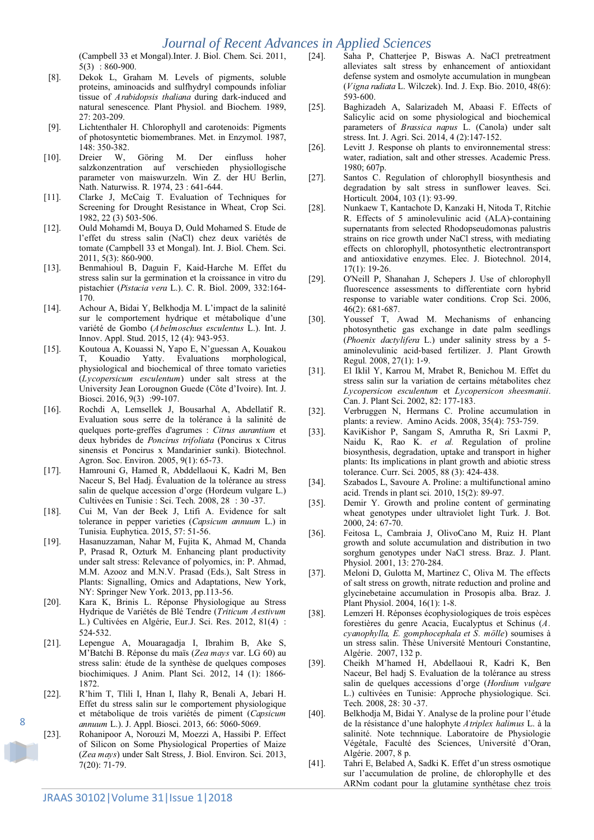(Campbell 33 et Mongal).Inter. J. Biol. Chem. Sci. 2011, 5(3) : 860-900.

- [8]. Dekok L, Graham M. Levels of pigments, soluble proteins, aminoacids and sulfhydryl compounds infoliar tissue of *Arabidopsis thaliana* during dark-induced and natural senescence*.* Plant Physiol. and Biochem*.* 1989,  $27: 203 - 209$
- [9]. Lichtenthaler H. Chlorophyll and carotenoids: Pigments of photosyntetic biomembranes. Met. in Enzymol*.* 1987,
- 148: 350-382.<br>Dreier W, [10]. Dreier W, Göring M. Der einfluss hoher salzkonzentration auf verschieden physiollogische parameter von maiswurzeln. Win Z. der HU Berlin, Nath. Naturwiss. R*.* 1974, 23 : 641-644.
- [11]. Clarke J, McCaig T. Evaluation of Techniques for Screening for Drought Resistance in Wheat, Crop Sci. 1982, 22 (3) 503‐506.
- [12]. Ould Mohamdi M, Bouya D, Ould Mohamed S. Etude de l'effet du stress salin (NaCl) chez deux variétés de tomate (Campbell 33 et Mongal). Int. J. Biol. Chem. Sci. 2011, 5(3): 860-900.
- [13]. Benmahioul B, Daguin F, Kaid-Harche M. Effet du stress salin sur la germination et la croissance in vitro du pistachier (*Pistacia vera* L.). C. R. Biol. 2009, 332:164- 170.
- [14]. Achour A, Bidai Y, Belkhodja M. L'impact de la salinité sur le comportement hydrique et métabolique d'une variété de Gombo (*Abelmoschus esculentus* L.). Int. J. Innov. Appl. Stud. 2015, 12 (4): 943‐953.
- [15]. Koutoua A, Kouassi N, Yapo E, N'guessan A, Kouakou T, Kouadio Yatty. Evaluations morphological, physiological and biochemical of three tomato varieties (*Lycopersicum esculentum*) under salt stress at the University Jean Lorougnon Guede (Côte d'Ivoire). Int. J. Biosci. 2016, 9(3) :99-107.
- [16]. Rochdi A, Lemsellek J, Bousarhal A, Abdellatif R. Evaluation sous serre de la tolérance à la salinité de quelques porte‐greffes d'agrumes : *Citrus aurantium* et deux hybrides de *Poncirus trifoliata* (Poncirus x Citrus sinensis et Poncirus x Mandarinier sunki). Biotechnol. Agron. Soc. Environ*.* 2005, 9(1): 65‐73.
- [17]. Hamrouni G, Hamed R, Abddellaoui K, Kadri M, Ben Naceur S, Bel Hadj. Évaluation de la tolérance au stress salin de quelque accession d'orge (Hordeum vulgare L.) Cultivées en Tunisie : Sci. Tech*.* 2008, 28 : 30 -37.
- [18]. Cui M, Van der Beek J, Ltifi A. Evidence for salt tolerance in pepper varieties (*Capsicum annuum* L.) in Tunisia*.* Euphytica. 2015, 57: 51-56.
- [19]. Hasanuzzaman, Nahar M, Fujita K, Ahmad M, Chanda P, Prasad R, Ozturk M. Enhancing plant productivity under salt stress: Relevance of polyomics, in: P. Ahmad, M.M. Azooz and M.N.V. Prasad (Eds.), Salt Stress in Plants: Signalling, Omics and Adaptations, New York, NY: Springer New York. 2013, pp.113-56.
- [20]. Kara K, Brinis L. Réponse Physiologique au Stress Hydrique de Variétés de Blé Tendre (*Triticum Aestivum*  L*.*) Cultivées en Algérie, Eur.J. Sci. Res. 2012, 81(4) : 524‐532.
- [21]. Lepengue A, Mouaragadja I, Ibrahim B, Ake S, M'Batchi B. Réponse du maïs (*Zea mays* var. LG 60) au stress salin: étude de la synthèse de quelques composes biochimiques. J Anim. Plant Sci. 2012, 14 (1): 1866‐ 1872.
- [22]. R'him T, Tlili I, Hnan I, Ilahy R, Benali A, Jebari H. Effet du stress salin sur le comportement physiologique et métabolique de trois variétés de piment (*Capsicum annuum* L.). J. Appl. Biosci. 2013, 66: 5060‐5069.
- [23]. Rohanipoor A, Norouzi M, Moezzi A, Hassibi P. Effect of Silicon on Some Physiological Properties of Maize (*Zea mays*) under Salt Stress, J. Biol. Environ. Sci. 2013, 7(20): 71‐79.
- [24]. Saha P, Chatterjee P, Biswas A. NaCl pretreatment alleviates salt stress by enhancement of antioxidant defense system and osmolyte accumulation in mungbean (*Vigna radiata* L. Wilczek). Ind. J. Exp. Bio. 2010, 48(6): 593‐600.
- [25]. Baghizadeh A, Salarizadeh M, Abaasi F. Effects of Salicylic acid on some physiological and biochemical parameters of *Brassica napus* L. (Canola) under salt stress. Int. J. Agri. Sci. 2014, 4 (2):147‐152.
- [26]. Levitt J. Response oh plants to environnemental stress: water, radiation, salt and other stresses. Academic Press. 1980; 607p.
- [27]. Santos C. Regulation of chlorophyll biosynthesis and degradation by salt stress in sunflower leaves. Sci. Horticult*.* 2004, 103 (1): 93‐99.
- [28]. Nunkaew T, Kantachote D, Kanzaki H, Nitoda T, Ritchie R. Effects of 5 aminolevulinic acid (ALA)‐containing supernatants from selected Rhodopseudomonas palustris strains on rice growth under NaCl stress, with mediating effects on chlorophyll, photosynthetic electrontransport and antioxidative enzymes. Elec. J. Biotechnol. 2014, 17(1): 19-26.
- [29]. O'Neill P, Shanahan J, Schepers J. Use of chlorophyll fluorescence assessments to differentiate corn hybrid response to variable water conditions. Crop Sci. 2006, 46(2): 681‐687.
- [30]. Youssef T, Awad M. Mechanisms of enhancing photosynthetic gas exchange in date palm seedlings (*Phoenix dactylifera* L.) under salinity stress by a 5‐ aminolevulinic acid‐based fertilizer. J. Plant Growth Regul*.* 2008, 27(1): 1‐9.
- [31]. El Iklil Y, Karrou M, Mrabet R, Benichou M. Effet du stress salin sur la variation de certains métabolites chez *Lycopersicon esculentum* et *Lycopersicon sheesmanii*. Can. J. Plant Sci. 2002, 82: 177-183.
- [32]. Verbruggen N, Hermans C. Proline accumulation in plants: a review. Amino Acids. 2008, 35(4): 753‐759.
- [33]. KaviKishor P, Sangam S, Amrutha R, Sri Laxmi P, Naidu K, Rao K. *et al.* Regulation of proline biosynthesis, degradation, uptake and transport in higher plants: Its implications in plant growth and abiotic stress tolerance. Curr. Sci*.* 2005, 88 (3): 424‐438.
- [34]. Szabados L, Savoure A. Proline: a multifunctional amino acid. Trends in plant sci*.* 2010, 15(2): 89‐97.
- [35]. Demir Y. Growth and proline content of germinating wheat genotypes under ultraviolet light Turk. J. Bot. 2000, 24: 67-70.
- [36]. Feitosa L, Cambraia J, OlivoCano M, Ruiz H. Plant growth and solute accumulation and distribution in two sorghum genotypes under NaCl stress. Braz. J. Plant. Physiol*.* 2001, 13: 270-284.
- [37]. Meloni D, Gulotta M, Martinez C, Oliva M. The effects of salt stress on growth, nitrate reduction and proline and glycinebetaine accumulation in Prosopis alba. Braz. J. Plant Physiol. 2004, 16(1): 1-8.
- [38]. Lemzeri H. Réponses écophysiologiques de trois espèces forestières du genre Acacia, Eucalyptus et Schinus (*A. cyanophylla, E. gomphocephala et S. mölle*) soumises à un stress salin. Thèse Université Mentouri Constantine, Algérie. 2007, 132 p.
- [39]. Cheikh M'hamed H, Abdellaoui R, Kadri K, Ben Naceur, Bel hadj S. Evaluation de la tolérance au stress salin de quelques accessions d'orge (*Hordium vulgare*  L.) cultivées en Tunisie: Approche physiologique. Sci. Tech*.* 2008, 28: 30 -37.
- [40]. Belkhodja M, Bidai Y. Analyse de la proline pour l'étude de la résistance d'une halophyte *Atriplex halimus* L. à la salinité. Note technnique. Laboratoire de Physiologie Végétale, Faculté des Sciences, Université d'Oran, Algérie. 2007, 8 p.
- [41]. Tahri E, Belabed A, Sadki K. Effet d'un stress osmotique sur l'accumulation de proline, de chlorophylle et des ARNm codant pour la glutamine synthétase chez trois

8